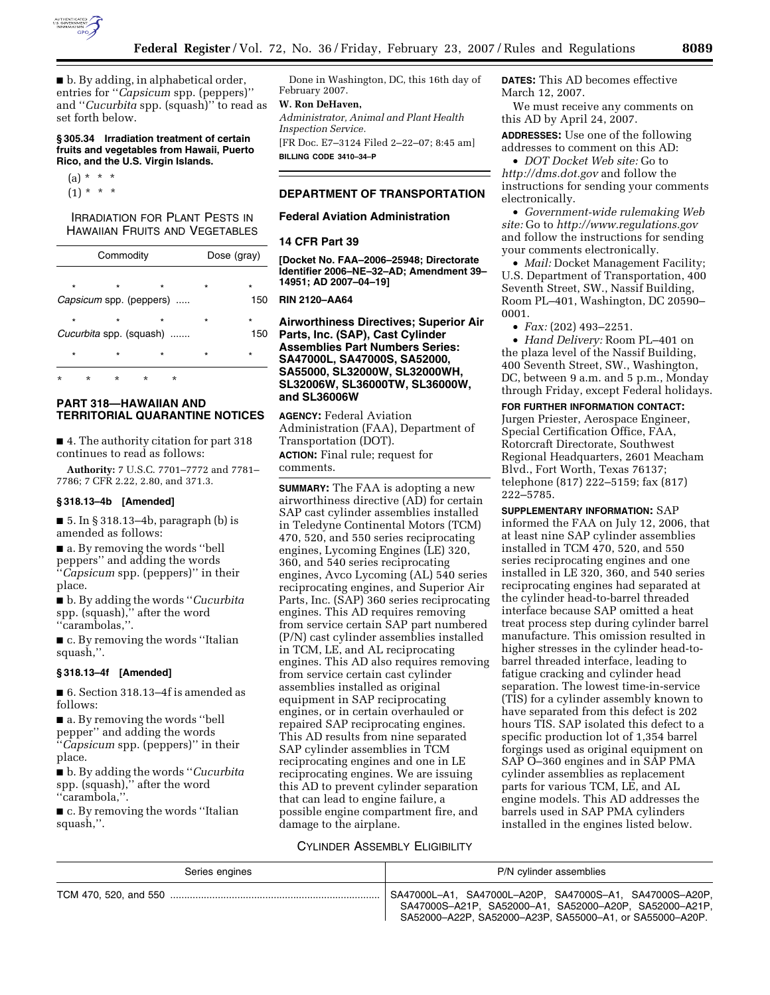

■ b. By adding, in alphabetical order, entries for ''*Capsicum* spp. (peppers)'' and ''*Cucurbita* spp. (squash)'' to read as set forth below.

### **§ 305.34 Irradiation treatment of certain fruits and vegetables from Hawaii, Puerto Rico, and the U.S. Virgin Islands.**

 $(a) * * * *$  $(1) * * * *$ 

# **IRRADIATION FOR PLANT PESTS IN** HAWAIIAN FRUITS AND VEGETABLES

| Commodity |          |                                    |          | Dose (gray) |         |                |
|-----------|----------|------------------------------------|----------|-------------|---------|----------------|
| $\star$   |          | $\star$                            |          | $\star$     | $\star$ | $\star$        |
|           |          | <i>Capsicum</i> spp. (peppers)     |          |             |         | 150            |
| $\star$   |          | $\star$<br>Cucurbita spp. (squash) |          | $\star$     | $\star$ | $\star$<br>150 |
| $\star$   |          | $\star$                            |          | $\star$     | $\star$ | $\star$        |
| ÷         | $^\star$ | $\star$                            | $^\star$ | $\star$     |         |                |

# **PART 318—HAWAIIAN AND TERRITORIAL QUARANTINE NOTICES**

■ 4. The authority citation for part 318 continues to read as follows:

**Authority:** 7 U.S.C. 7701–7772 and 7781– 7786; 7 CFR 2.22, 2.80, and 371.3.

### **§ 318.13–4b [Amended]**

 $\blacksquare$  5. In § 318.13–4b, paragraph (b) is amended as follows:

■ a. By removing the words "bell peppers'' and adding the words ''*Capsicum* spp. (peppers)'' in their place.

■ **b**. By adding the words "*Cucurbita* spp. (squash),'' after the word ''carambolas,''.

■ c. By removing the words "Italian squash,''.

#### **§ 318.13–4f [Amended]**

■ 6. Section 318.13–4f is amended as follows:

■ a. By removing the words "bell pepper'' and adding the words ''*Capsicum* spp. (peppers)'' in their place.

■ b. By adding the words ''*Cucurbita*  spp. (squash),'' after the word ''carambola,''.

■ c. By removing the words "Italian squash,''.

Done in Washington, DC, this 16th day of February 2007.

# **W. Ron DeHaven,**

*Administrator, Animal and Plant Health Inspection Service.* 

[FR Doc. E7–3124 Filed 2–22–07; 8:45 am] **BILLING CODE 3410–34–P** 

## **DEPARTMENT OF TRANSPORTATION**

## **Federal Aviation Administration**

### **14 CFR Part 39**

**[Docket No. FAA–2006–25948; Directorate Identifier 2006–NE–32–AD; Amendment 39– 14951; AD 2007–04–19]** 

#### **RIN 2120–AA64**

**Airworthiness Directives; Superior Air Parts, Inc. (SAP), Cast Cylinder Assemblies Part Numbers Series: SA47000L, SA47000S, SA52000, SA55000, SL32000W, SL32000WH, SL32006W, SL36000TW, SL36000W, and SL36006W** 

**AGENCY:** Federal Aviation Administration (FAA), Department of Transportation (DOT). **ACTION:** Final rule; request for comments.

**SUMMARY:** The FAA is adopting a new airworthiness directive (AD) for certain SAP cast cylinder assemblies installed in Teledyne Continental Motors (TCM) 470, 520, and 550 series reciprocating engines, Lycoming Engines (LE) 320, 360, and 540 series reciprocating engines, Avco Lycoming (AL) 540 series reciprocating engines, and Superior Air Parts, Inc. (SAP) 360 series reciprocating engines. This AD requires removing from service certain SAP part numbered (P/N) cast cylinder assemblies installed in TCM, LE, and AL reciprocating engines. This AD also requires removing from service certain cast cylinder assemblies installed as original equipment in SAP reciprocating engines, or in certain overhauled or repaired SAP reciprocating engines. This AD results from nine separated SAP cylinder assemblies in TCM reciprocating engines and one in LE reciprocating engines. We are issuing this AD to prevent cylinder separation that can lead to engine failure, a possible engine compartment fire, and damage to the airplane.

## CYLINDER ASSEMBLY ELIGIBILITY

**DATES:** This AD becomes effective March 12, 2007.

We must receive any comments on this AD by April 24, 2007.

**ADDRESSES:** Use one of the following addresses to comment on this AD:

• *DOT Docket Web site:* Go to *http://dms.dot.gov* and follow the instructions for sending your comments electronically.

• *Government-wide rulemaking Web site:* Go to *http://www.regulations.gov*  and follow the instructions for sending your comments electronically.

• *Mail:* Docket Management Facility; U.S. Department of Transportation, 400 Seventh Street, SW., Nassif Building, Room PL–401, Washington, DC 20590– 0001.

• *Fax:* (202) 493–2251.

• *Hand Delivery:* Room PL–401 on the plaza level of the Nassif Building, 400 Seventh Street, SW., Washington, DC, between 9 a.m. and 5 p.m., Monday through Friday, except Federal holidays.

## **FOR FURTHER INFORMATION CONTACT:**

Jurgen Priester, Aerospace Engineer, Special Certification Office, FAA, Rotorcraft Directorate, Southwest Regional Headquarters, 2601 Meacham Blvd., Fort Worth, Texas 76137; telephone (817) 222–5159; fax (817) 222–5785.

**SUPPLEMENTARY INFORMATION:** SAP informed the FAA on July 12, 2006, that at least nine SAP cylinder assemblies installed in TCM 470, 520, and 550 series reciprocating engines and one installed in LE 320, 360, and 540 series reciprocating engines had separated at the cylinder head-to-barrel threaded interface because SAP omitted a heat treat process step during cylinder barrel manufacture. This omission resulted in higher stresses in the cylinder head-tobarrel threaded interface, leading to fatigue cracking and cylinder head separation. The lowest time-in-service (TIS) for a cylinder assembly known to have separated from this defect is 202 hours TIS. SAP isolated this defect to a specific production lot of 1,354 barrel forgings used as original equipment on SAP O–360 engines and in SAP PMA cylinder assemblies as replacement parts for various TCM, LE, and AL engine models. This AD addresses the barrels used in SAP PMA cylinders installed in the engines listed below.

| Series engines | P/N cylinder assemblies                                                                                                                                                       |
|----------------|-------------------------------------------------------------------------------------------------------------------------------------------------------------------------------|
|                | SA47000L-A1, SA47000L-A20P, SA47000S-A1, SA47000S-A20P,<br>SA47000S-A21P. SA52000-A1. SA52000-A20P. SA52000-A21P.<br>SA52000-A22P, SA52000-A23P, SA55000-A1, or SA55000-A20P. |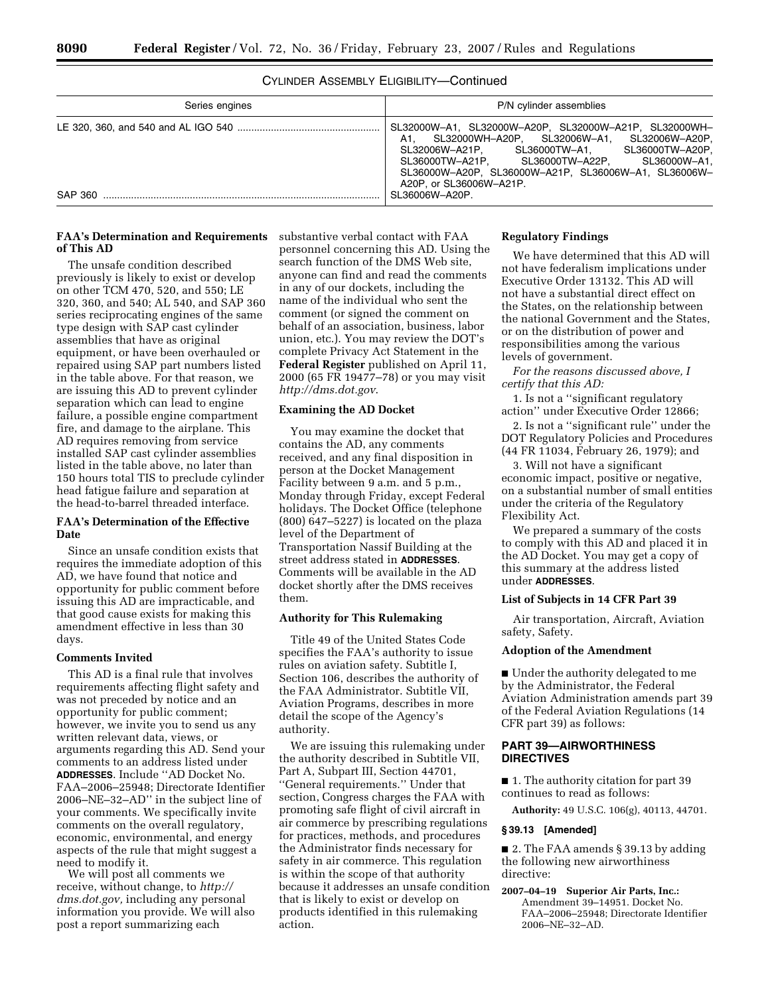## CYLINDER ASSEMBLY ELIGIBILITY—Continued

| Series engines | P/N cylinder assemblies                                                                                                                                                                                                                                                                     |
|----------------|---------------------------------------------------------------------------------------------------------------------------------------------------------------------------------------------------------------------------------------------------------------------------------------------|
|                | SL32000W-A1, SL32000W-A20P, SL32000W-A21P, SL32000WH-<br>A1. SL32000WH-A20P. SL32006W-A1. SL32006W-A20P.<br>SL32006W-A21P, SL36000TW-A1, SL36000TW-A20P,<br>SL36000TW-A21P, SL36000TW-A22P, SL36000W-A1,<br>SL36000W-A20P. SL36000W-A21P. SL36006W-A1. SL36006W-<br>A20P. or SL36006W-A21P. |
| SAP 360        | SL36006W-A20P.                                                                                                                                                                                                                                                                              |

## **FAA's Determination and Requirements**  substantive verbal contact with FAA **of This AD**

The unsafe condition described previously is likely to exist or develop on other TCM 470, 520, and 550; LE 320, 360, and 540; AL 540, and SAP 360 series reciprocating engines of the same type design with SAP cast cylinder assemblies that have as original equipment, or have been overhauled or repaired using SAP part numbers listed in the table above. For that reason, we are issuing this AD to prevent cylinder separation which can lead to engine failure, a possible engine compartment fire, and damage to the airplane. This AD requires removing from service installed SAP cast cylinder assemblies listed in the table above, no later than 150 hours total TIS to preclude cylinder head fatigue failure and separation at the head-to-barrel threaded interface.

### **FAA's Determination of the Effective Date**

Since an unsafe condition exists that requires the immediate adoption of this AD, we have found that notice and opportunity for public comment before issuing this AD are impracticable, and that good cause exists for making this amendment effective in less than 30 days.

## **Comments Invited**

This AD is a final rule that involves requirements affecting flight safety and was not preceded by notice and an opportunity for public comment; however, we invite you to send us any written relevant data, views, or arguments regarding this AD. Send your comments to an address listed under **ADDRESSES**. Include ''AD Docket No. FAA–2006–25948; Directorate Identifier 2006–NE–32–AD'' in the subject line of your comments. We specifically invite comments on the overall regulatory, economic, environmental, and energy aspects of the rule that might suggest a need to modify it.

We will post all comments we receive, without change, to *http:// dms.dot.gov,* including any personal information you provide. We will also post a report summarizing each

personnel concerning this AD. Using the search function of the DMS Web site, anyone can find and read the comments in any of our dockets, including the name of the individual who sent the comment (or signed the comment on behalf of an association, business, labor union, etc.). You may review the DOT's complete Privacy Act Statement in the **Federal Register** published on April 11, 2000 (65 FR 19477–78) or you may visit *http://dms.dot.gov*.

### **Examining the AD Docket**

You may examine the docket that contains the AD, any comments received, and any final disposition in person at the Docket Management Facility between 9 a.m. and 5 p.m., Monday through Friday, except Federal holidays. The Docket Office (telephone (800) 647–5227) is located on the plaza level of the Department of Transportation Nassif Building at the street address stated in **ADDRESSES**. Comments will be available in the AD docket shortly after the DMS receives them.

# **Authority for This Rulemaking**

Title 49 of the United States Code specifies the FAA's authority to issue rules on aviation safety. Subtitle I, Section 106, describes the authority of the FAA Administrator. Subtitle VII, Aviation Programs, describes in more detail the scope of the Agency's authority.

We are issuing this rulemaking under the authority described in Subtitle VII, Part A, Subpart III, Section 44701, ''General requirements.'' Under that section, Congress charges the FAA with promoting safe flight of civil aircraft in air commerce by prescribing regulations for practices, methods, and procedures the Administrator finds necessary for safety in air commerce. This regulation is within the scope of that authority because it addresses an unsafe condition that is likely to exist or develop on products identified in this rulemaking action.

### **Regulatory Findings**

We have determined that this AD will not have federalism implications under Executive Order 13132. This AD will not have a substantial direct effect on the States, on the relationship between the national Government and the States, or on the distribution of power and responsibilities among the various levels of government.

*For the reasons discussed above, I certify that this AD:* 

1. Is not a ''significant regulatory action'' under Executive Order 12866;

2. Is not a ''significant rule'' under the DOT Regulatory Policies and Procedures (44 FR 11034, February 26, 1979); and

3. Will not have a significant economic impact, positive or negative, on a substantial number of small entities under the criteria of the Regulatory Flexibility Act.

We prepared a summary of the costs to comply with this AD and placed it in the AD Docket. You may get a copy of this summary at the address listed under **ADDRESSES**.

## **List of Subjects in 14 CFR Part 39**

Air transportation, Aircraft, Aviation safety, Safety.

### **Adoption of the Amendment**

■ Under the authority delegated to me by the Administrator, the Federal Aviation Administration amends part 39 of the Federal Aviation Regulations (14 CFR part 39) as follows:

## **PART 39—AIRWORTHINESS DIRECTIVES**

■ 1. The authority citation for part 39 continues to read as follows:

**Authority:** 49 U.S.C. 106(g), 40113, 44701.

#### **§ 39.13 [Amended]**

■ 2. The FAA amends § 39.13 by adding the following new airworthiness directive:

**2007–04–19 Superior Air Parts, Inc.:**  Amendment 39–14951. Docket No. FAA–2006–25948; Directorate Identifier 2006–NE–32–AD.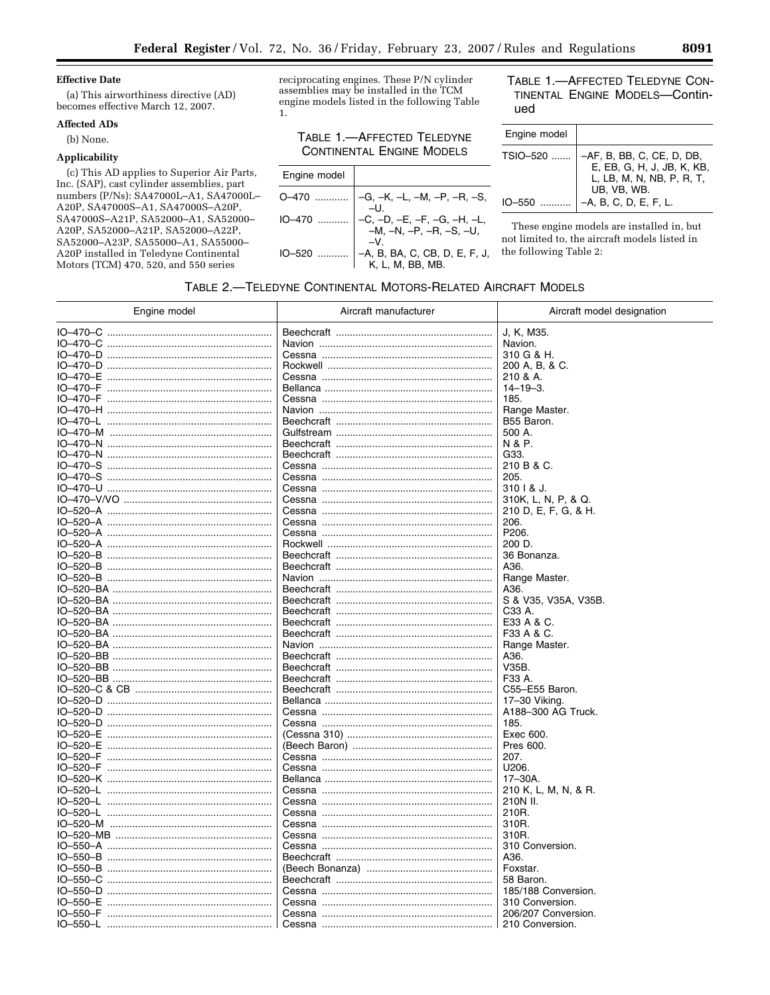#### **Effective Date**

(a) This airworthiness directive (AD) becomes effective March 12, 2007.

## **Affected ADs**

(b) None.

## Applicability

(c) This AD applies to Superior Air Parts, Inc. (SAP), cast cylinder assemblies, part numbers (P/Ns): SA47000L-A1, SA47000L-A20P, SA47000S-A1, SA47000S-A20P, SA47000S-A21P, SA52000-A1, SA52000-A20P, SA52000-A21P, SA52000-A22P, SA52000-A23P, SA55000-A1, SA55000-A20P installed in Teledyne Continental Motors (TCM) 470, 520, and 550 series

reciprocating engines. These P/N cylinder assemblies may be installed in the TCM engine models listed in the following Table 1.

# TABLE 1.-AFFECTED TELEDYNE **CONTINENTAL ENGINE MODELS**

| Engine model |                                                                                                          |
|--------------|----------------------------------------------------------------------------------------------------------|
|              | $0-470$ $\begin{vmatrix} -G, -K, -L, -M, -P, -R, -S, \\ -U. \end{vmatrix}$                               |
|              | $10-470$ $\begin{vmatrix} -6 & -D & -E & -F & -G & -H & -L \\ -M & -N & -P & -R & -S & -U \end{vmatrix}$ |
| IO-520       | -A, B, BA, C, CB, D, E, F, J,<br>K, L, M, BB, MB.                                                        |

## TABLE 1.-AFFECTED TELEDYNE CON-TINENTAL ENGINE MODELS-Continued

| Engine model           |                                                                                                                              |
|------------------------|------------------------------------------------------------------------------------------------------------------------------|
| TSIO-520<br>$IO-550$ . | -AF, B, BB, C, CE, D, DB,<br>E, EB, G, H, J, JB, K, KB,<br>L, LB, M, N, NB, P, R, T,<br>UB, VB, WB.<br>-A, B, C, D, E, F, L. |
|                        |                                                                                                                              |

These engine models are installed in, but not limited to, the aircraft models listed in the following Table 2:

## TABLE 2.-TELEDYNE CONTINENTAL MOTORS-RELATED AIRCRAFT MODELS

| Engine model | Aircraft manufacturer | Aircraft model designation |
|--------------|-----------------------|----------------------------|
|              |                       | J, K, M35.                 |
|              |                       | Navion.                    |
|              |                       | 310 G & H.                 |
|              |                       | 200 A, B, & C.             |
|              |                       | 210 & A.                   |
| IO-470-F     |                       | $14 - 19 - 3$ .            |
| IO-470-F     |                       | 185.                       |
|              |                       | Range Master.              |
|              |                       | B55 Baron.                 |
|              |                       | 500 A.                     |
|              |                       | N & P.                     |
|              |                       | G33.                       |
|              |                       | 210 B & C.                 |
|              |                       | 205.                       |
|              |                       | 310   & J.                 |
|              |                       | 310K, L, N, P, & Q.        |
|              |                       | 210 D, E, F, G, & H.       |
|              |                       | 206.                       |
|              |                       | P206.                      |
|              |                       | 200 D.                     |
|              |                       | 36 Bonanza.                |
|              |                       | A36.                       |
|              |                       | Range Master.              |
|              |                       | A36.                       |
|              |                       | S & V35, V35A, V35B.       |
|              |                       | C33 A.                     |
|              |                       | E33 A & C.                 |
|              |                       | F33 A & C.                 |
|              |                       | Range Master.              |
|              |                       | A36.                       |
|              |                       | V35B.                      |
|              |                       | F33 A.                     |
|              |                       | C55-E55 Baron.             |
|              |                       | 17-30 Viking.              |
|              |                       | A188-300 AG Truck.         |
|              |                       | 185.                       |
|              |                       | Exec 600.                  |
|              |                       | Pres 600.                  |
|              |                       | 207.                       |
|              |                       | U206.                      |
|              |                       | 17-30A.                    |
|              |                       | 210 K, L, M, N, & R.       |
|              |                       | 210N II.                   |
|              |                       | 210R.                      |
|              |                       | 310R.                      |
|              |                       | 310R.                      |
|              |                       | 310 Conversion.            |
|              |                       | A36.                       |
|              |                       | Foxstar.                   |
|              |                       | 58 Baron.                  |
|              |                       | 185/188 Conversion.        |
|              |                       | 310 Conversion.            |
|              |                       | 206/207 Conversion.        |
|              |                       | 210 Conversion.            |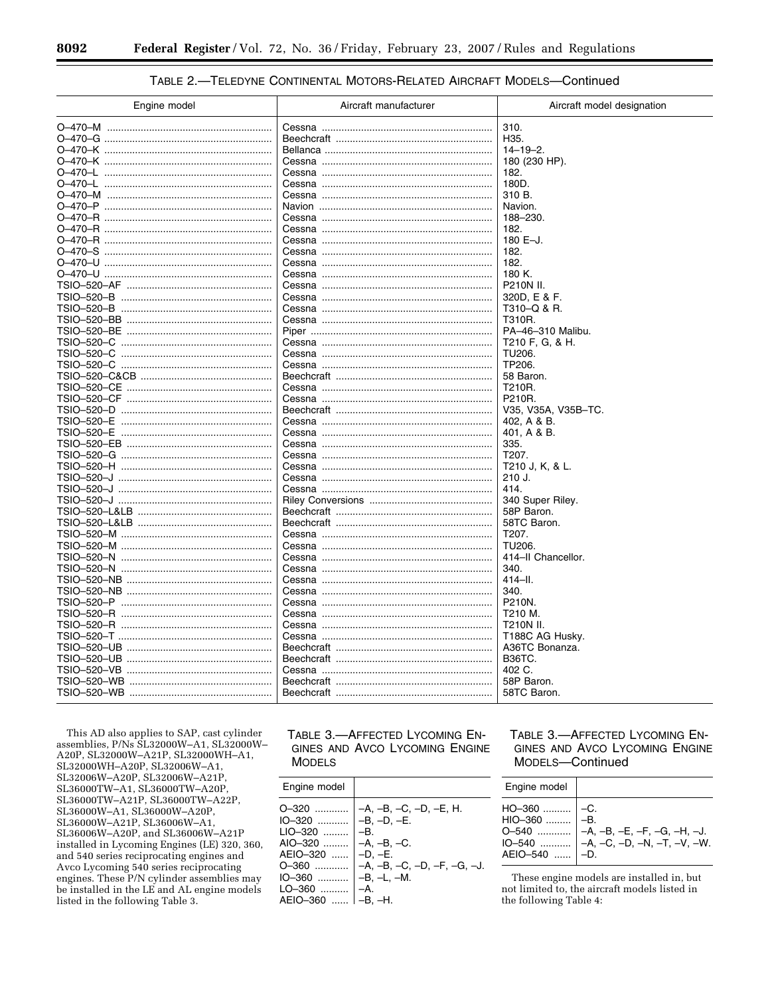| TABLE 2.-TELEDYNE CONTINENTAL MOTORS-RELATED AIRCRAFT MODELS-Continued |  |  |  |
|------------------------------------------------------------------------|--|--|--|
|------------------------------------------------------------------------|--|--|--|

| 310.<br>H35.<br>0–470–K …………………………………………………<br>$14 - 19 - 2$ .<br>0–470–K …………………………………………………<br>180 (230 HP).<br>0–470–L …………………………………………………<br>182.<br>180D.<br>310 B.<br>Navion.<br>188-230.<br>182.<br>180 E-J.<br>182.<br>182.<br>0–470–U …………………………………………………<br>0–470–U …………………………………………………<br>180 K.<br>P210N II.<br>320D, E & F.<br>T310-Q & R.<br>T310R.<br>PA-46-310 Malibu.<br>T210 F, G, & H.<br>TSIO-520-C<br>TU <sub>206</sub><br>TSIO-520-C<br>TP206.<br>58 Baron.<br>T210R.<br>P210R.<br>V35, V35A, V35B-TC.<br>402, A & B.<br>401, A & B.<br>335.<br>T207. | Engine model | Aircraft manufacturer | Aircraft model designation |
|-----------------------------------------------------------------------------------------------------------------------------------------------------------------------------------------------------------------------------------------------------------------------------------------------------------------------------------------------------------------------------------------------------------------------------------------------------------------------------------------------------------------------------------------------------------------------------|--------------|-----------------------|----------------------------|
|                                                                                                                                                                                                                                                                                                                                                                                                                                                                                                                                                                             |              |                       |                            |
|                                                                                                                                                                                                                                                                                                                                                                                                                                                                                                                                                                             |              |                       |                            |
|                                                                                                                                                                                                                                                                                                                                                                                                                                                                                                                                                                             |              |                       |                            |
|                                                                                                                                                                                                                                                                                                                                                                                                                                                                                                                                                                             |              |                       |                            |
|                                                                                                                                                                                                                                                                                                                                                                                                                                                                                                                                                                             |              |                       |                            |
|                                                                                                                                                                                                                                                                                                                                                                                                                                                                                                                                                                             |              |                       |                            |
|                                                                                                                                                                                                                                                                                                                                                                                                                                                                                                                                                                             |              |                       |                            |
|                                                                                                                                                                                                                                                                                                                                                                                                                                                                                                                                                                             |              |                       |                            |
|                                                                                                                                                                                                                                                                                                                                                                                                                                                                                                                                                                             |              |                       |                            |
|                                                                                                                                                                                                                                                                                                                                                                                                                                                                                                                                                                             |              |                       |                            |
|                                                                                                                                                                                                                                                                                                                                                                                                                                                                                                                                                                             |              |                       |                            |
|                                                                                                                                                                                                                                                                                                                                                                                                                                                                                                                                                                             |              |                       |                            |
|                                                                                                                                                                                                                                                                                                                                                                                                                                                                                                                                                                             |              |                       |                            |
|                                                                                                                                                                                                                                                                                                                                                                                                                                                                                                                                                                             |              |                       |                            |
|                                                                                                                                                                                                                                                                                                                                                                                                                                                                                                                                                                             |              |                       |                            |
|                                                                                                                                                                                                                                                                                                                                                                                                                                                                                                                                                                             |              |                       |                            |
|                                                                                                                                                                                                                                                                                                                                                                                                                                                                                                                                                                             |              |                       |                            |
|                                                                                                                                                                                                                                                                                                                                                                                                                                                                                                                                                                             |              |                       |                            |
|                                                                                                                                                                                                                                                                                                                                                                                                                                                                                                                                                                             |              |                       |                            |
|                                                                                                                                                                                                                                                                                                                                                                                                                                                                                                                                                                             |              |                       |                            |
|                                                                                                                                                                                                                                                                                                                                                                                                                                                                                                                                                                             |              |                       |                            |
|                                                                                                                                                                                                                                                                                                                                                                                                                                                                                                                                                                             |              |                       |                            |
|                                                                                                                                                                                                                                                                                                                                                                                                                                                                                                                                                                             |              |                       |                            |
|                                                                                                                                                                                                                                                                                                                                                                                                                                                                                                                                                                             |              |                       |                            |
|                                                                                                                                                                                                                                                                                                                                                                                                                                                                                                                                                                             |              |                       |                            |
|                                                                                                                                                                                                                                                                                                                                                                                                                                                                                                                                                                             |              |                       |                            |
|                                                                                                                                                                                                                                                                                                                                                                                                                                                                                                                                                                             |              |                       |                            |
|                                                                                                                                                                                                                                                                                                                                                                                                                                                                                                                                                                             |              |                       |                            |
|                                                                                                                                                                                                                                                                                                                                                                                                                                                                                                                                                                             |              |                       |                            |
|                                                                                                                                                                                                                                                                                                                                                                                                                                                                                                                                                                             |              |                       |                            |
|                                                                                                                                                                                                                                                                                                                                                                                                                                                                                                                                                                             |              |                       | T210 J, K, & L.            |
| 210 J.                                                                                                                                                                                                                                                                                                                                                                                                                                                                                                                                                                      |              |                       |                            |
| 414.                                                                                                                                                                                                                                                                                                                                                                                                                                                                                                                                                                        |              |                       |                            |
| 340 Super Riley.<br>TSIO–520–J ……………………………………………                                                                                                                                                                                                                                                                                                                                                                                                                                                                                                                            |              |                       |                            |
| 58P Baron.                                                                                                                                                                                                                                                                                                                                                                                                                                                                                                                                                                  |              |                       |                            |
| 58TC Baron.                                                                                                                                                                                                                                                                                                                                                                                                                                                                                                                                                                 |              |                       |                            |
| T207.                                                                                                                                                                                                                                                                                                                                                                                                                                                                                                                                                                       |              |                       |                            |
| TU206.                                                                                                                                                                                                                                                                                                                                                                                                                                                                                                                                                                      |              |                       |                            |
| 414-II Chancellor.                                                                                                                                                                                                                                                                                                                                                                                                                                                                                                                                                          |              |                       |                            |
| 340.                                                                                                                                                                                                                                                                                                                                                                                                                                                                                                                                                                        |              |                       |                            |
| $414 - H$ .                                                                                                                                                                                                                                                                                                                                                                                                                                                                                                                                                                 |              |                       |                            |
| 340.                                                                                                                                                                                                                                                                                                                                                                                                                                                                                                                                                                        |              |                       |                            |
| TSIO-520-P<br>P210N.                                                                                                                                                                                                                                                                                                                                                                                                                                                                                                                                                        |              |                       |                            |
| T210 M.                                                                                                                                                                                                                                                                                                                                                                                                                                                                                                                                                                     |              |                       |                            |
| T210N II.                                                                                                                                                                                                                                                                                                                                                                                                                                                                                                                                                                   |              |                       |                            |
| T188C AG Husky.                                                                                                                                                                                                                                                                                                                                                                                                                                                                                                                                                             |              |                       |                            |
| A36TC Bonanza.                                                                                                                                                                                                                                                                                                                                                                                                                                                                                                                                                              |              |                       |                            |
| <b>B36TC.</b>                                                                                                                                                                                                                                                                                                                                                                                                                                                                                                                                                               |              |                       |                            |
| 402 C.                                                                                                                                                                                                                                                                                                                                                                                                                                                                                                                                                                      |              |                       |                            |
| 58P Baron.                                                                                                                                                                                                                                                                                                                                                                                                                                                                                                                                                                  |              |                       |                            |
| 58TC Baron.                                                                                                                                                                                                                                                                                                                                                                                                                                                                                                                                                                 |              |                       |                            |

This AD also applies to SAP, cast cylinder<br>assemblies, P/Ns SL32000W-A1, SL32000W-A20P, SL32000W-A21P, SL32000WH-A1, SL32000WH-A20P, SL32006W-A1, SL32006W-A20P, SL32006W-A21P, SL36000TW-A1, SL36000TW-A20P, SL36000TW-A21P, SL36000TW-A22P, SL36000W-A1, SL36000W-A20P, SL36000W-A21P, SL36006W-A1,<br>SL36006W-A20P, and SL36006W-A21P installed in Lycoming Engines (LE) 320, 360, and 540 series reciprocating engines and Avco Lycoming 540 series reciprocating engines. These P/N cylinder assemblies may be installed in the LE and AL engine models listed in the following Table 3.

TABLE 3.-AFFECTED LYCOMING EN-GINES AND AVCO LYCOMING ENGINE **MODELS** 

| Engine model                                                                                                                                       |                                                                                                |
|----------------------------------------------------------------------------------------------------------------------------------------------------|------------------------------------------------------------------------------------------------|
| 0-320<br>IO-320    −B, −D, −E.<br>$LIO-320$<br>$AIO-320$<br>AEIO-320<br>$O-360$<br>IO–360    –B, –L, –M.<br>LO-360    -A.<br>$AEIO-360$ $ -B. -H.$ | $-A, -B, -C, -D, -E, H.$<br>$-B1$<br>$-A. -B. -C.$<br>$-D. -E.$<br>-A. -B. -C. -D. -F. -G. -J. |

TABLE 3.-AFFECTED LYCOMING EN-GINES AND AVCO LYCOMING ENGINE MODELS-Continued

| Engine model |                                                                                                                                                                                                                                                                                                                                                      |
|--------------|------------------------------------------------------------------------------------------------------------------------------------------------------------------------------------------------------------------------------------------------------------------------------------------------------------------------------------------------------|
|              | $\begin{array}{c} \n\text{H}{O}\text{--}360 \dots \dots \dots \quad -C. \\ \text{H}{I}{O}\text{--}360 \dots \dots \dots \quad -B. \\ \text{O}-540 \dots \dots \dots \dots \quad -A, -B, -E, -F, -G, -H, -J. \\ \text{IO}-540 \dots \dots \dots \quad -A, -C, -D, -N, -T, -V, -W. \\ \text{A}E{I}{O}\text{--}540 \dots \dots \quad -D. \n\end{array}$ |

These engine models are installed in, but not limited to, the aircraft models listed in the following Table 4: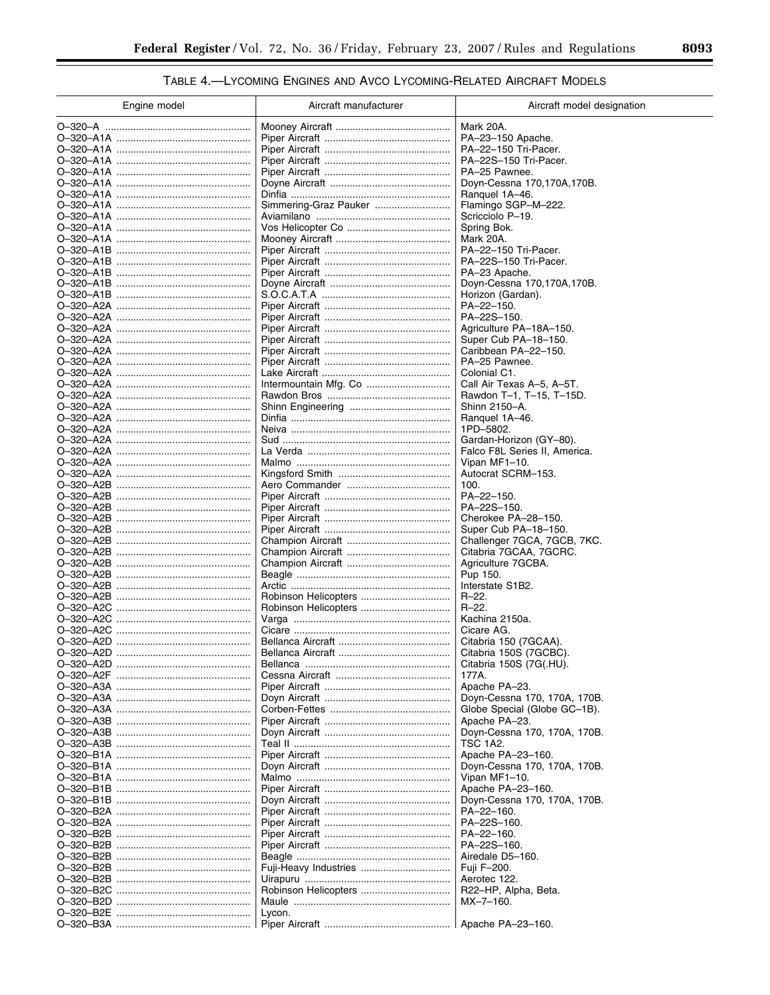# TABLE 4.- LYCOMING ENGINES AND AVCO LYCOMING-RELATED AIRCRAFT MODELS

| Engine model              | Aircraft manufacturer | Aircraft model designation                     |
|---------------------------|-----------------------|------------------------------------------------|
|                           |                       | Mark 20A.                                      |
|                           |                       | PA-23-150 Apache.                              |
|                           |                       | PA-22-150 Tri-Pacer.                           |
|                           |                       | PA-22S-150 Tri-Pacer.                          |
| O–320–A1A ……………………………………… |                       | PA-25 Pawnee.                                  |
|                           |                       | Doyn-Cessna 170,170A,170B.                     |
| O–320–A1A ……………………………………… |                       | Ranguel 1A-46.                                 |
| O–320–A1A ……………………………………… |                       | Flamingo SGP-M-222.                            |
| O–320–A1A ……………………………………… |                       | Scricciolo P-19.                               |
| O–320–A1A ……………………………………… |                       | Spring Bok.                                    |
| O–320–A1A ……………………………………… |                       | Mark 20A.                                      |
|                           |                       | PA-22-150 Tri-Pacer.<br>PA-22S-150 Tri-Pacer.  |
|                           |                       | PA-23 Apache.                                  |
|                           |                       | Doyn-Cessna 170,170A,170B.                     |
|                           |                       | Horizon (Gardan).                              |
|                           |                       | PA-22-150.                                     |
|                           |                       | PA-22S-150.                                    |
|                           |                       | Agriculture PA-18A-150.                        |
|                           |                       | Super Cub PA-18-150.                           |
| O–320–A2A ……………………………………… |                       | Caribbean PA-22-150.                           |
|                           |                       | PA-25 Pawnee.                                  |
|                           |                       | Colonial C1.                                   |
|                           |                       | Call Air Texas A-5, A-5T.                      |
| O–320–A2A ……………………………………… |                       | Rawdon T-1, T-15, T-15D.                       |
|                           |                       | Shinn 2150-A.                                  |
| O–320–A2A ……………………………………… |                       | Ranquel 1A-46.                                 |
|                           |                       | 1PD-5802.                                      |
|                           |                       | Gardan-Horizon (GY-80).                        |
|                           |                       | Falco F8L Series II, America.<br>Vipan MF1-10. |
|                           |                       | Autocrat SCRM-153.                             |
|                           |                       | 100.                                           |
|                           |                       | PA-22-150.                                     |
|                           |                       | PA-22S-150.                                    |
|                           |                       | Cherokee PA-28-150.                            |
|                           |                       | Super Cub PA-18-150.                           |
|                           |                       | Challenger 7GCA, 7GCB, 7KC.                    |
|                           |                       | Citabria 7GCAA, 7GCRC.                         |
|                           |                       | Agriculture 7GCBA.                             |
|                           |                       | Pup 150.                                       |
|                           |                       | Interstate S1B2.<br>$R - 22$ .                 |
|                           |                       | $R - 22$ .                                     |
|                           |                       | Kachina 2150a.                                 |
| O–320–A2C                 |                       | Cicare AG.                                     |
|                           |                       | Citabria 150 (7GCAA).                          |
|                           |                       | Citabria 150S (7GCBC).                         |
|                           |                       | Citabria 150S (7G(.HU).                        |
| O–320–A2F                 |                       | 177A.                                          |
|                           |                       | Apache PA-23.                                  |
|                           |                       | Doyn-Cessna 170, 170A, 170B.                   |
|                           |                       | Globe Special (Globe GC-1B).                   |
|                           |                       | Apache PA-23.                                  |
|                           |                       | Doyn-Cessna 170, 170A, 170B.                   |
|                           |                       | TSC 1A2.<br>Apache PA-23-160.                  |
|                           |                       | Doyn-Cessna 170, 170A, 170B.                   |
|                           |                       | Vipan MF1-10.                                  |
|                           |                       | Apache PA-23-160.                              |
|                           |                       | Doyn-Cessna 170, 170A, 170B.                   |
|                           |                       | PA-22-160.                                     |
|                           |                       | PA-22S-160.                                    |
|                           |                       | PA-22-160.                                     |
|                           |                       | PA-22S-160.                                    |
|                           |                       | Airedale D5-160.                               |
|                           |                       | Fuji F-200.                                    |
|                           |                       | Aerotec 122.                                   |
|                           |                       | R22-HP, Alpha, Beta.                           |
|                           |                       | $MX - 7 - 160.$                                |
|                           | Lycon.                |                                                |
|                           |                       | Apache PA-23-160.                              |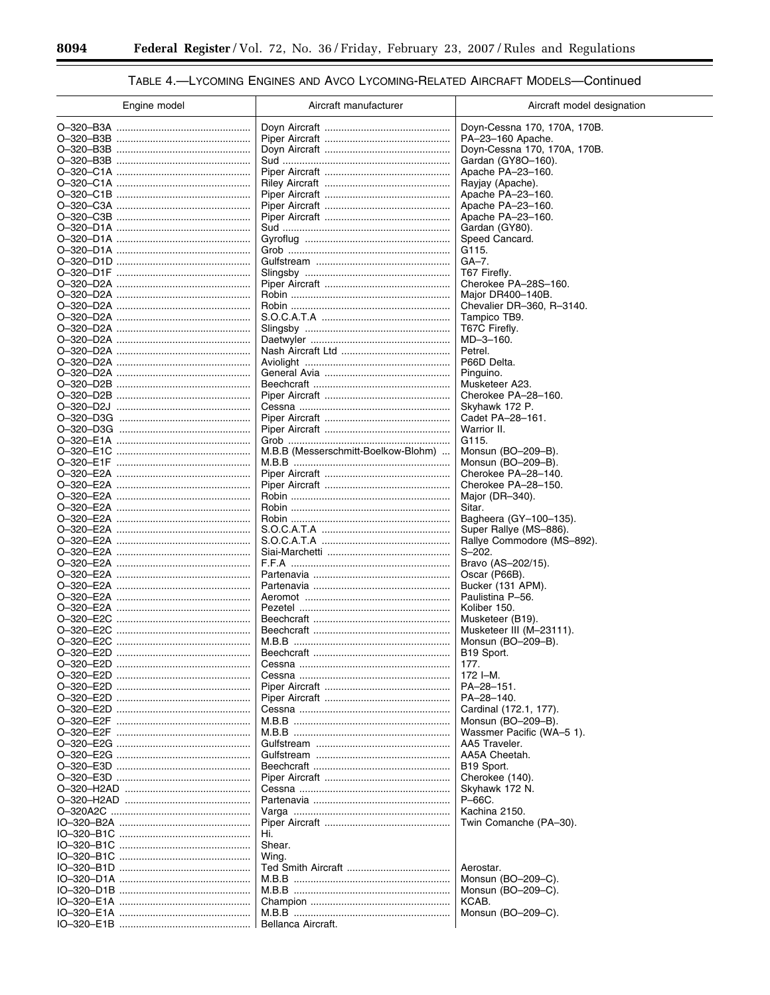$\equiv$ 

۲

# TABLE 4.- LYCOMING ENGINES AND AVCO LYCOMING-RELATED AIRCRAFT MODELS-Continued

| Engine model             | Aircraft manufacturer               | Aircraft model designation                   |
|--------------------------|-------------------------------------|----------------------------------------------|
|                          |                                     | Doyn-Cessna 170, 170A, 170B.                 |
|                          |                                     | PA-23-160 Apache.                            |
|                          |                                     | Doyn-Cessna 170, 170A, 170B.                 |
|                          |                                     | Gardan (GY8O-160).                           |
|                          |                                     | Apache PA-23-160.                            |
|                          |                                     | Rayjay (Apache).<br>Apache PA-23-160.        |
|                          |                                     | Apache PA-23-160.                            |
|                          |                                     | Apache PA-23-160.                            |
|                          |                                     | Gardan (GY80).                               |
|                          |                                     | Speed Cancard.                               |
|                          |                                     | G115.                                        |
|                          |                                     | $GA-7.$                                      |
|                          |                                     | T67 Firefly.<br>Cherokee PA-28S-160.         |
|                          |                                     | Major DR400-140B.                            |
|                          |                                     | Chevalier DR-360, R-3140.                    |
|                          |                                     | Tampico TB9.                                 |
|                          |                                     | T67C Firefly.                                |
|                          |                                     | MD-3-160.                                    |
|                          |                                     | Petrel.                                      |
|                          |                                     | P66D Delta.                                  |
|                          |                                     | Pinguino.<br>Musketeer A23.                  |
|                          |                                     | Cherokee PA-28-160.                          |
|                          |                                     | Skyhawk 172 P.                               |
|                          |                                     | Cadet PA-28-161.                             |
|                          |                                     | Warrior II.                                  |
|                          |                                     | G115.                                        |
|                          | M.B.B (Messerschmitt-Boelkow-Blohm) | Monsun (BO-209-B).                           |
|                          |                                     | Monsun (BO-209-B).<br>Cherokee PA-28-140.    |
|                          |                                     | Cherokee PA-28-150.                          |
|                          |                                     | Major (DR-340).                              |
|                          |                                     | Sitar.                                       |
|                          |                                     | Bagheera (GY-100-135).                       |
|                          |                                     | Super Rallye (MS-886).                       |
|                          |                                     | Rallye Commodore (MS-892).                   |
|                          |                                     | $S - 202.$<br>Bravo (AS-202/15).             |
|                          |                                     | Oscar (P66B).                                |
|                          |                                     | Bucker (131 APM).                            |
|                          |                                     | Paulistina P-56.                             |
|                          |                                     | Koliber 150.                                 |
|                          |                                     | Musketeer (B19).                             |
|                          |                                     | Musketeer III (M-23111).                     |
|                          |                                     | Monsun (BO-209-B).<br>B <sub>19</sub> Sport. |
|                          |                                     | 177.                                         |
|                          |                                     | 172 I-M.                                     |
|                          |                                     | PA-28-151.                                   |
|                          |                                     | PA-28-140.                                   |
|                          |                                     | Cardinal (172.1, 177).                       |
|                          |                                     | Monsun (BO-209-B).                           |
|                          |                                     | Wassmer Pacific (WA-5 1).<br>AA5 Traveler.   |
|                          |                                     | AA5A Cheetah.                                |
|                          |                                     | B <sub>19</sub> Sport.                       |
|                          |                                     | Cherokee (140).                              |
|                          |                                     | Skyhawk 172 N.                               |
|                          |                                     | P-66C.                                       |
|                          |                                     | Kachina 2150.                                |
|                          |                                     | Twin Comanche (PA-30).                       |
|                          | Hi.                                 |                                              |
| IO-320-B1C<br>IO-320-B1C | Shear.<br>Wing.                     |                                              |
|                          |                                     | Aerostar.                                    |
|                          |                                     | Monsun (BO-209-C).                           |
|                          |                                     | Monsun (BO-209-C).                           |
|                          |                                     | KCAB.                                        |
|                          |                                     | Monsun (BO-209-C).                           |
|                          | Bellanca Aircraft.                  |                                              |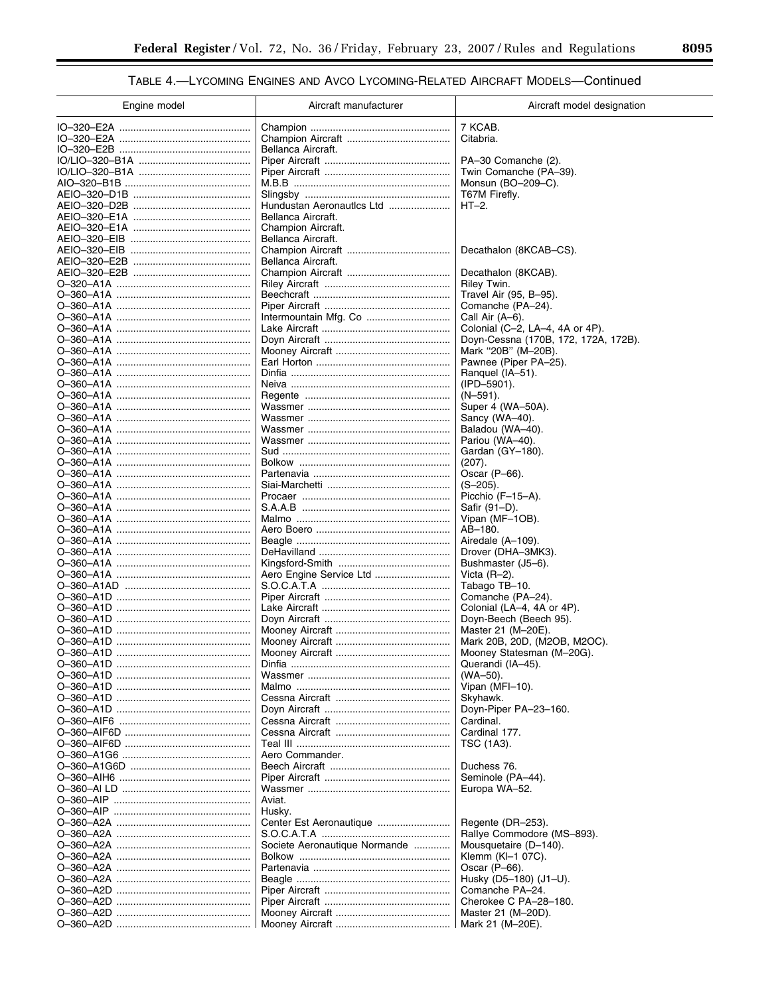# TABLE 4.- LYCOMING ENGINES AND AVCO LYCOMING-RELATED AIRCRAFT MODELS-Continued

| Engine model | Aircraft manufacturer         | Aircraft model designation           |
|--------------|-------------------------------|--------------------------------------|
|              |                               | 7 KCAB.                              |
|              |                               | Citabria.                            |
|              | Bellanca Aircraft.            |                                      |
|              |                               | PA-30 Comanche (2).                  |
|              |                               | Twin Comanche (PA-39).               |
|              |                               | Monsun (BO-209-C).                   |
|              |                               | T67M Firefly.                        |
|              | Hundustan Aeronautics Ltd     | $HT-2.$                              |
|              | Bellanca Aircraft.            |                                      |
|              | Champion Aircraft.            |                                      |
|              | Bellanca Aircraft.            |                                      |
|              |                               | Decathalon (8KCAB-CS).               |
|              | Bellanca Aircraft.            |                                      |
|              |                               | Decathalon (8KCAB).                  |
|              |                               | Riley Twin.                          |
|              |                               | Travel Air (95, B-95).               |
|              |                               | Comanche (PA-24).                    |
|              |                               | Call Air (A–6).                      |
|              |                               | Colonial (C-2, LA-4, 4A or 4P).      |
|              |                               | Doyn-Cessna (170B, 172, 172A, 172B). |
|              |                               | Mark "20B" (M-20B).                  |
|              |                               | Pawnee (Piper PA-25).                |
|              |                               | Ranguel (IA-51).                     |
|              |                               | (IPD-5901).                          |
|              |                               | $(N-591)$ .                          |
|              |                               | Super 4 (WA-50A).                    |
|              |                               | Sancy (WA-40).                       |
|              |                               | Baladou (WA-40).                     |
|              |                               | Pariou (WA-40).                      |
|              |                               | Gardan (GY-180).                     |
|              |                               | (207).                               |
|              |                               | Oscar $(P-66)$ .                     |
|              |                               | $(S-205)$ .                          |
|              |                               | Picchio (F-15-A).                    |
|              |                               | Safir (91-D).                        |
|              |                               | Vipan (MF-1OB).                      |
|              |                               | AB-180.                              |
|              |                               | Airedale (A-109).                    |
|              |                               | Drover (DHA-3MK3).                   |
|              |                               | Bushmaster (J5-6).                   |
|              | Aero Engine Service Ltd       | Victa $(R-2)$ .                      |
|              |                               | Tabago TB-10.                        |
|              |                               | Comanche (PA-24).                    |
|              |                               | Colonial (LA-4, 4A or 4P).           |
|              |                               | Doyn-Beech (Beech 95).               |
|              |                               | Master 21 (M-20E).                   |
|              |                               | Mark 20B, 20D, (M2OB, M2OC).         |
|              |                               | Mooney Statesman (M-20G).            |
|              |                               | Querandi (IA-45).                    |
|              |                               | (WA-50).                             |
|              |                               | Vipan (MFI-10).                      |
|              |                               | Skyhawk.                             |
|              |                               | Doyn-Piper PA-23-160.                |
|              |                               | Cardinal.                            |
|              |                               | Cardinal 177.                        |
|              |                               | TSC (1A3).                           |
|              | Aero Commander.               |                                      |
|              |                               | Duchess 76.                          |
|              |                               | Seminole (PA-44).                    |
|              |                               | Europa WA-52.                        |
|              | Aviat.                        |                                      |
|              | Husky.                        |                                      |
|              |                               | Regente (DR-253).                    |
|              |                               | Rallye Commodore (MS-893).           |
|              | Societe Aeronautique Normande | Mousquetaire (D-140).                |
|              |                               | Klemm (KI-1 07C).                    |
|              |                               | Oscar $(P-66)$ .                     |
|              |                               | Husky (D5-180) (J1-U).               |
|              |                               | Comanche PA-24.                      |
|              |                               | Cherokee C PA-28-180.                |
|              |                               | Master 21 (M-20D).                   |
|              |                               |                                      |
|              |                               | Mark 21 (M-20E).                     |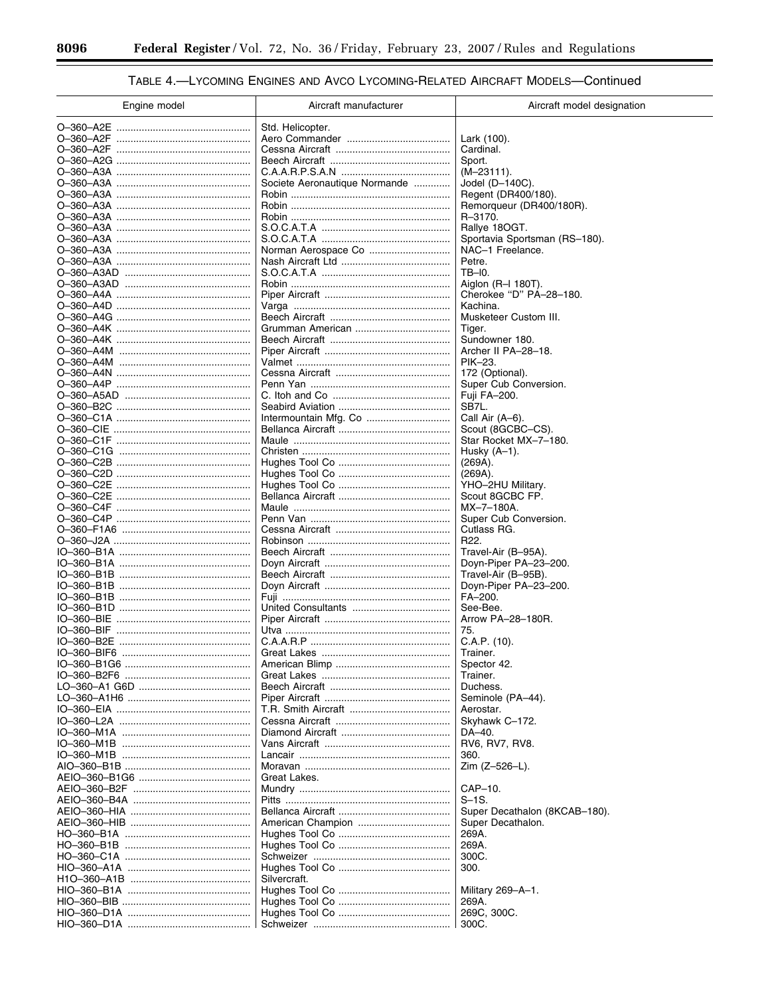$\equiv$ 

۲

# TABLE 4.- LYCOMING ENGINES AND AVCO LYCOMING-RELATED AIRCRAFT MODELS-Continued

| Engine model | Aircraft manufacturer         | Aircraft model designation                     |
|--------------|-------------------------------|------------------------------------------------|
|              | Std. Helicopter.              |                                                |
|              |                               | Lark (100).                                    |
|              |                               | Cardinal.                                      |
|              |                               | Sport.<br>$(M-23111)$ .                        |
|              | Societe Aeronautique Normande | Jodel $(D-140C)$ .                             |
|              |                               | Regent (DR400/180).                            |
|              |                               | Remorqueur (DR400/180R).                       |
|              |                               | R-3170.                                        |
|              |                               | Rallye 180GT.<br>Sportavia Sportsman (RS-180). |
|              |                               | NAC-1 Freelance.                               |
|              |                               | Petre.                                         |
|              |                               | TB-I0.                                         |
|              |                               | Aiglon $(R-I 180T)$ .                          |
|              |                               | Cherokee "D" PA-28-180.<br>Kachina.            |
|              |                               | Musketeer Custom III.                          |
|              |                               | Tiger.                                         |
|              |                               | Sundowner 180.                                 |
|              |                               | Archer II PA-28-18.                            |
|              |                               | PIK-23.<br>172 (Optional).                     |
|              |                               | Super Cub Conversion.                          |
|              |                               | Fuji FA-200.                                   |
|              |                               | SB7L.                                          |
|              |                               | Call Air (A-6).                                |
|              |                               | Scout (8GCBC-CS).<br>Star Rocket MX-7-180.     |
|              |                               | Husky $(A-1)$ .                                |
|              |                               | (269A).                                        |
|              |                               | (269A).                                        |
|              |                               | YHO-2HU Military.                              |
|              |                               | Scout 8GCBC FP.<br>MX-7-180A.                  |
|              |                               | Super Cub Conversion.                          |
|              |                               | Cutlass RG.                                    |
|              |                               | R <sub>22</sub> .                              |
|              |                               | Travel-Air (B-95A).                            |
|              |                               | Doyn-Piper PA-23-200.<br>Travel-Air (B-95B).   |
|              |                               | Doyn-Piper PA-23-200.                          |
|              |                               | FA-200.                                        |
|              |                               | See-Bee.                                       |
|              |                               | Arrow PA-28-180R.                              |
| IO-360-BIF   |                               | 75.<br>C.A.P. (10).                            |
|              |                               | Trainer.                                       |
|              |                               | Spector 42.                                    |
|              |                               | Trainer.                                       |
|              |                               | Duchess.                                       |
|              |                               | Seminole (PA-44).<br>Aerostar.                 |
|              |                               | Skyhawk C-172.                                 |
|              |                               | DA-40.                                         |
|              |                               | RV6, RV7, RV8.                                 |
|              |                               | 360.                                           |
|              |                               | Zim (Z-526-L).                                 |
|              | Great Lakes.                  | CAP-10.                                        |
|              |                               | $S-1S$ .                                       |
|              |                               | Super Decathalon (8KCAB-180).                  |
|              |                               | Super Decathalon.                              |
|              |                               | 269A.                                          |
|              |                               | 269A.<br>300C.                                 |
|              |                               | 300.                                           |
|              | Silvercraft.                  |                                                |
|              |                               | Military 269-A-1.                              |
|              |                               | 269A.                                          |
|              |                               | 269C, 300C.                                    |
|              |                               | 300C.                                          |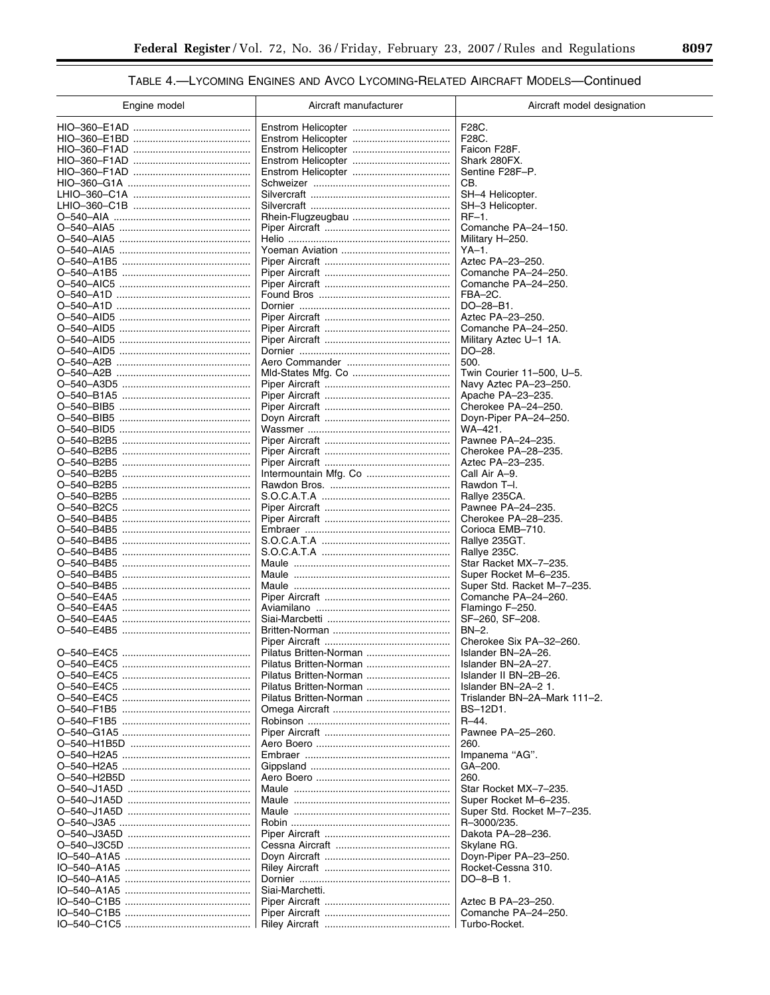# TABLE 4.- LYCOMING ENGINES AND AVCO LYCOMING-RELATED AIRCRAFT MODELS-Continued

| Engine model             | Aircraft manufacturer  | Aircraft model designation                         |
|--------------------------|------------------------|----------------------------------------------------|
|                          |                        | F28C.                                              |
|                          |                        | F28C.                                              |
|                          |                        | Faicon F28F.                                       |
|                          |                        | Shark 280FX.                                       |
|                          |                        | Sentine F28F-P.                                    |
|                          |                        | CB.                                                |
|                          |                        | SH-4 Helicopter.                                   |
|                          |                        | SH-3 Helicopter.                                   |
|                          |                        | $RF-1$ .                                           |
|                          |                        | Comanche PA-24-150.                                |
|                          |                        | Military H-250.<br>$YA-1.$                         |
|                          |                        | Aztec PA-23-250.                                   |
|                          |                        | Comanche PA-24-250.                                |
|                          |                        | Comanche PA-24-250.                                |
|                          |                        | FBA-2C.                                            |
|                          |                        | DO-28-B1.                                          |
|                          |                        | Aztec PA-23-250.                                   |
|                          |                        | Comanche PA-24-250.                                |
|                          |                        | Military Aztec U-1 1A.                             |
|                          |                        | DO-28.                                             |
|                          |                        | 500.                                               |
|                          |                        | Twin Courier 11-500, U-5.<br>Navy Aztec PA-23-250. |
|                          |                        | Apache PA-23-235.                                  |
|                          |                        | Cherokee PA-24-250.                                |
|                          |                        | Doyn-Piper PA-24-250.                              |
|                          |                        | WA-421.                                            |
|                          |                        | Pawnee PA-24-235.                                  |
|                          |                        | Cherokee PA-28-235.                                |
|                          |                        | Aztec PA-23-235.                                   |
|                          |                        | Call Air A-9.                                      |
|                          |                        | Rawdon T-I.                                        |
|                          |                        | Rallye 235CA.                                      |
|                          |                        | Pawnee PA-24-235.                                  |
| O-540-B4B5               |                        | Cherokee PA-28-235.<br>Corioca EMB-710.            |
| O-540-B4B5               |                        | Rallye 235GT.                                      |
|                          |                        | Rallye 235C.                                       |
|                          |                        | Star Racket MX-7-235.                              |
|                          |                        | Super Rocket M-6-235.                              |
| O-540-B4B5               |                        | Super Std. Racket M-7-235.                         |
| O-540-E4A5               |                        | Comanche PA-24-260.                                |
| O-540-E4A5<br>O-540-E4A5 |                        | Flamingo F-250.<br>SF-260, SF-208.                 |
|                          |                        | $BN-2.$                                            |
|                          |                        | Cherokee Six PA-32-260.                            |
|                          | Pilatus Britten-Norman | Islander BN-2A-26.                                 |
|                          | Pilatus Britten-Norman | Islander BN-2A-27.                                 |
|                          | Pilatus Britten-Norman | Islander II BN-2B-26.                              |
|                          | Pilatus Britten-Norman | Islander BN-2A-2 1.                                |
|                          | Pilatus Britten-Norman | Trislander BN-2A-Mark 111-2.                       |
|                          |                        | BS-12D1.                                           |
|                          |                        | $R - 44.$                                          |
|                          |                        | Pawnee PA-25-260.                                  |
|                          |                        | 260.                                               |
|                          |                        | Impanema "AG".<br>GA-200.                          |
|                          |                        | 260.                                               |
|                          |                        | Star Rocket MX-7-235.                              |
|                          |                        | Super Rocket M-6-235.                              |
|                          |                        | Super Std. Rocket M-7-235.                         |
|                          |                        | R-3000/235.                                        |
|                          |                        | Dakota PA-28-236.                                  |
|                          |                        | Skylane RG.                                        |
|                          |                        | Doyn-Piper PA-23-250.                              |
|                          |                        | Rocket-Cessna 310.                                 |
|                          |                        | DO-8-B 1.                                          |
|                          | Siai-Marchetti.        | Aztec B PA-23-250.                                 |
|                          |                        | Comanche PA-24-250.                                |
|                          |                        | Turbo-Rocket.                                      |
|                          |                        |                                                    |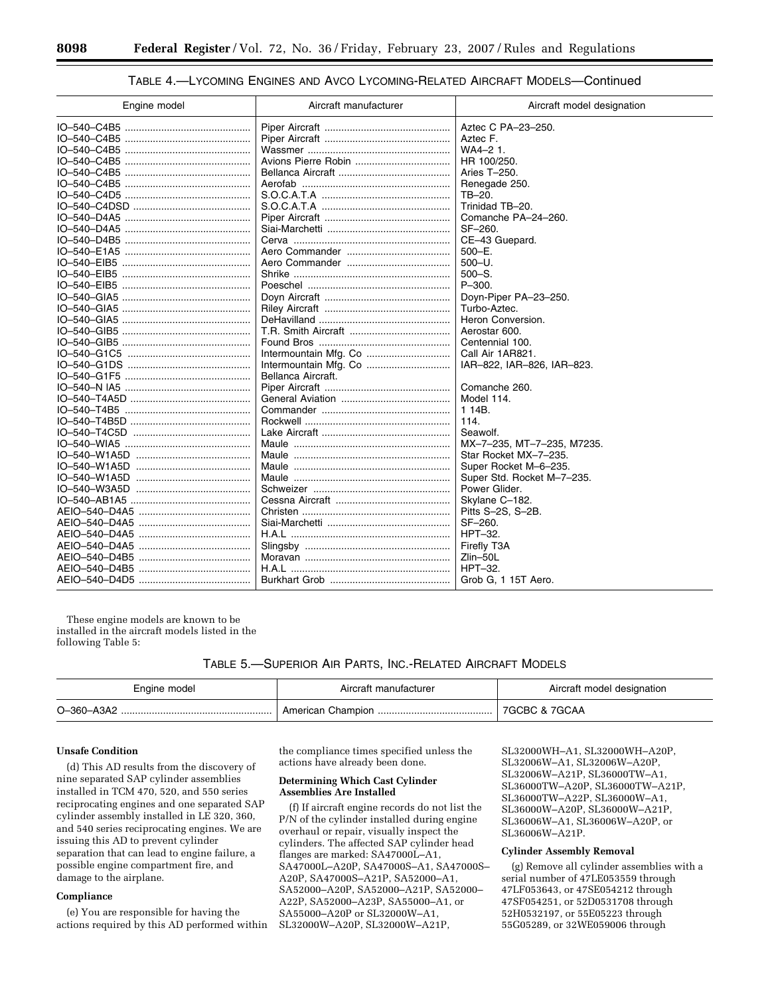## TABLE 4.—LYCOMING ENGINES AND AVCO LYCOMING-RELATED AIRCRAFT MODELS—Continued

| Engine model                | Aircraft manufacturer | Aircraft model designation |
|-----------------------------|-----------------------|----------------------------|
|                             |                       | Aztec C PA-23-250.         |
|                             |                       | Aztec F.                   |
|                             |                       | WA4-2 1.                   |
|                             |                       | HR 100/250.                |
|                             |                       | Aries T-250.               |
|                             |                       | Renegade 250.              |
|                             |                       | TB-20.                     |
|                             |                       | Trinidad TB-20.            |
|                             |                       | Comanche PA-24-260.        |
|                             |                       | SF-260.                    |
|                             |                       | CE-43 Guepard.             |
|                             |                       | $500 - E$ .                |
|                             |                       | $500 - U$ .                |
|                             |                       | $500 - S.$                 |
|                             |                       | $P - 300.$                 |
|                             |                       | Doyn-Piper PA-23-250.      |
|                             |                       | Turbo-Aztec.               |
|                             |                       | Heron Conversion.          |
|                             |                       | Aerostar 600.              |
|                             |                       | Centennial 100.            |
|                             |                       | Call Air 1AR821.           |
|                             |                       | IAR-822, IAR-826, IAR-823. |
|                             | Bellanca Aircraft.    |                            |
|                             |                       | Comanche 260.              |
|                             |                       | Model 114.                 |
|                             |                       | 1 14B.                     |
|                             |                       | 114.                       |
|                             |                       | Seawolf.                   |
|                             |                       | MX-7-235, MT-7-235, M7235. |
|                             |                       | Star Rocket MX-7-235.      |
|                             |                       | Super Rocket M-6-235.      |
|                             |                       | Super Std. Rocket M-7-235. |
|                             |                       | Power Glider.              |
|                             |                       | Skylane C-182.             |
|                             |                       | Pitts S-2S, S-2B.          |
|                             |                       | SF-260.                    |
| AEIO–540–D4A5 ………………………………… |                       | HPT-32.                    |
|                             |                       | Firefly T3A                |
|                             |                       | Zlin-50L                   |
|                             |                       | HPT-32.                    |
|                             |                       | Grob G, 1 15T Aero.        |

These engine models are known to be installed in the aircraft models listed in the following Table 5:

### TABLE 5.—SUPERIOR AIR PARTS, INC.-RELATED AIRCRAFT MODELS

| Engine model | Aircraft manufacturer | Aircraft model designation |
|--------------|-----------------------|----------------------------|
| O-360-A3A2   |                       | 7GCBC & 7GCAA              |

### **Unsafe Condition**

(d) This AD results from the discovery of nine separated SAP cylinder assemblies installed in TCM 470, 520, and 550 series reciprocating engines and one separated SAP cylinder assembly installed in LE 320, 360, and 540 series reciprocating engines. We are issuing this AD to prevent cylinder separation that can lead to engine failure, a possible engine compartment fire, and damage to the airplane.

## **Compliance**

(e) You are responsible for having the actions required by this AD performed within

the compliance times specified unless the actions have already been done.

#### **Determining Which Cast Cylinder Assemblies Are Installed**

(f) If aircraft engine records do not list the P/N of the cylinder installed during engine overhaul or repair, visually inspect the cylinders. The affected SAP cylinder head flanges are marked: SA47000L–A1, SA47000L–A20P, SA47000S–A1, SA47000S– A20P, SA47000S–A21P, SA52000–A1, SA52000–A20P, SA52000–A21P, SA52000– A22P, SA52000–A23P, SA55000–A1, or SA55000–A20P or SL32000W–A1, SL32000W–A20P, SL32000W–A21P,

SL32000WH–A1, SL32000WH–A20P, SL32006W–A1, SL32006W–A20P, SL32006W–A21P, SL36000TW–A1, SL36000TW–A20P, SL36000TW–A21P, SL36000TW–A22P, SL36000W–A1, SL36000W–A20P, SL36000W–A21P, SL36006W–A1, SL36006W–A20P, or SL36006W–A21P.

### **Cylinder Assembly Removal**

(g) Remove all cylinder assemblies with a serial number of 47LE053559 through 47LF053643, or 47SE054212 through 47SF054251, or 52D0531708 through 52H0532197, or 55E05223 through 55G05289, or 32WE059006 through